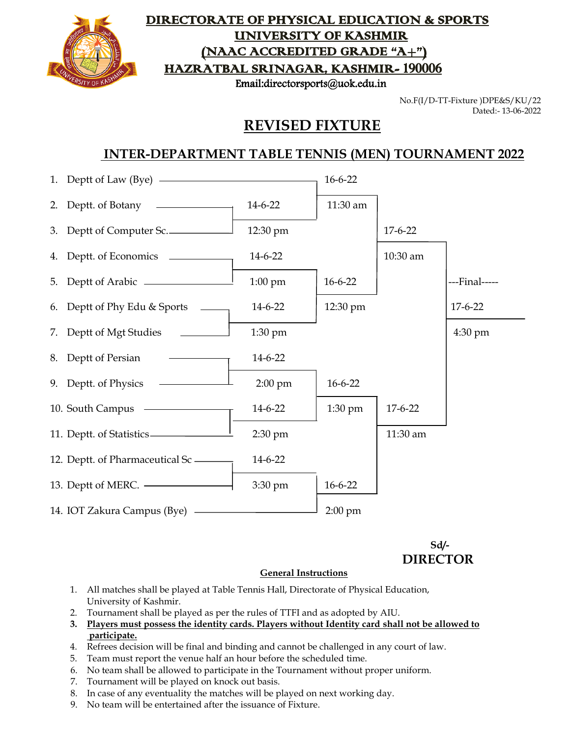

#### DIRECTORATE OF PHYSICAL EDUCATION & SPORTS UNIVERSITY OF KASHMIR (NAAC ACCREDITED GRADE "A+") HAZRATBAL SRINAGAR, KASHMIR- 190006

Email:directorsports@uok.edu.in

No.F(I/D-TT-Fixture )DPE&S/KU/22 Dated:- 13-06-2022

### **REVISED FIXTURE**

#### **INTER-DEPARTMENT TABLE TENNIS (MEN) TOURNAMENT 2022**

| 1. Deptt of Law (Bye) ————————————————————   |                   | $16 - 6 - 22$ |               |                   |
|----------------------------------------------|-------------------|---------------|---------------|-------------------|
| 2. Deptt. of Botany $\overline{\phantom{a}}$ | 14-6-22           | 11:30 am      |               |                   |
| 3. Deptt of Computer Sc.                     | 12:30 pm          |               | $17-6-22$     |                   |
|                                              | 14-6-22           |               | 10:30 am      |                   |
|                                              | $1:00 \text{ pm}$ | $16 - 6 - 22$ |               | ---Final-----     |
| 6. Deptt of Phy Edu & Sports _____           | 14-6-22           | 12:30 pm      |               | $17 - 6 - 22$     |
| 7. Deptt of Mgt Studies                      | 1:30 pm           |               |               | $4:30 \text{ pm}$ |
| 8. Deptt of Persian                          | 14-6-22           |               |               |                   |
| 9. Deptt. of Physics —                       | $2:00 \text{ pm}$ | $16 - 6 - 22$ |               |                   |
| 10. South Campus —                           | 14-6-22           | $1:30$ pm     | $17 - 6 - 22$ |                   |
| 11. Deptt. of Statistics-                    | 2:30 pm           |               | 11:30 am      |                   |
| 12. Deptt. of Pharmaceutical Sc —            | 14-6-22           |               |               |                   |
| 13. Deptt of MERC. <u>________________</u>   | 3:30 pm           | $16 - 6 - 22$ |               |                   |
|                                              |                   | $2:00$ pm     |               |                   |

 **Sd/- DIRECTOR**

#### **General Instructions**

- 1. All matches shall be played at Table Tennis Hall, Directorate of Physical Education, University of Kashmir.
- 2. Tournament shall be played as per the rules of TTFI and as adopted by AIU.
- **3. Players must possess the identity cards. Players without Identity card shall not be allowed to participate.**
- 4. Refrees decision will be final and binding and cannot be challenged in any court of law.
- 5. Team must report the venue half an hour before the scheduled time.
- 6. No team shall be allowed to participate in the Tournament without proper uniform.
- 7. Tournament will be played on knock out basis.
- 8. In case of any eventuality the matches will be played on next working day.
- 9. No team will be entertained after the issuance of Fixture.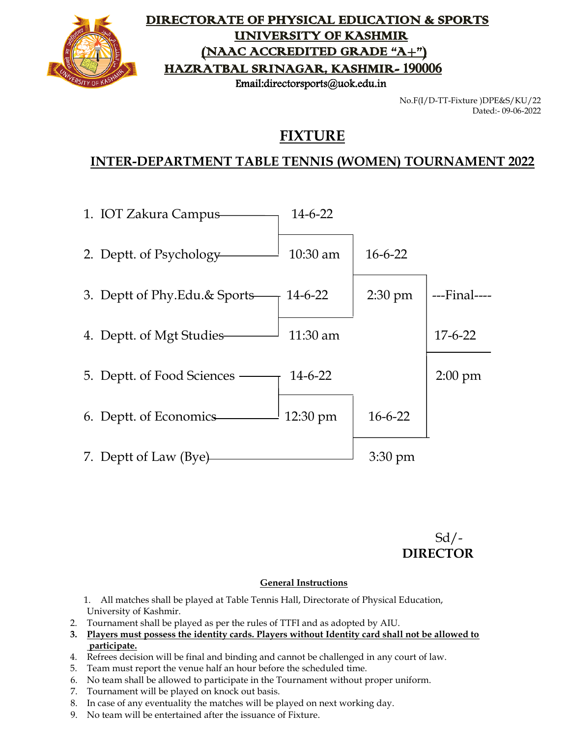

### DIRECTORATE OF PHYSICAL EDUCATION & SPORTS UNIVERSITY OF KASHMIR (NAAC ACCREDITED GRADE "A+") HAZRATBAL SRINAGAR, KASHMIR- 190006

Email:directorsports@uok.edu.in

No.F(I/D-TT-Fixture )DPE&S/KU/22 Dated:- 09-06-2022

# **FIXTURE**

## **INTER-DEPARTMENT TABLE TENNIS (WOMEN) TOURNAMENT 2022**

| 1. IOT Zakura Campus          | $14 - 6 - 22$ |                   |               |
|-------------------------------|---------------|-------------------|---------------|
| 2. Deptt. of Psychology       | $10:30$ am    | $16 - 6 - 22$     |               |
| 3. Deptt of Phy.Edu.& Sports— | 14-6-22       | $2:30 \text{ pm}$ | ---Final----  |
| 4. Deptt. of Mgt Studies—     | $11:30$ am    |                   | $17 - 6 - 22$ |
| 5. Deptt. of Food Sciences —  | $14-6-22$     |                   | $2:00$ pm     |
| 6. Deptt. of Economics—       | 12:30 pm      | $16 - 6 - 22$     |               |
| 7. Deptt of Law (Bye)         |               | $3:30 \text{ pm}$ |               |

 $Sd$  /-**DIRECTOR**

#### **General Instructions**

1. All matches shall be played at Table Tennis Hall, Directorate of Physical Education, University of Kashmir.

- 2. Tournament shall be played as per the rules of TTFI and as adopted by AIU.
- **3. Players must possess the identity cards. Players without Identity card shall not be allowed to participate.**
- 4. Refrees decision will be final and binding and cannot be challenged in any court of law.
- 5. Team must report the venue half an hour before the scheduled time.
- 6. No team shall be allowed to participate in the Tournament without proper uniform.
- 7. Tournament will be played on knock out basis.
- 8. In case of any eventuality the matches will be played on next working day.
- 9. No team will be entertained after the issuance of Fixture.